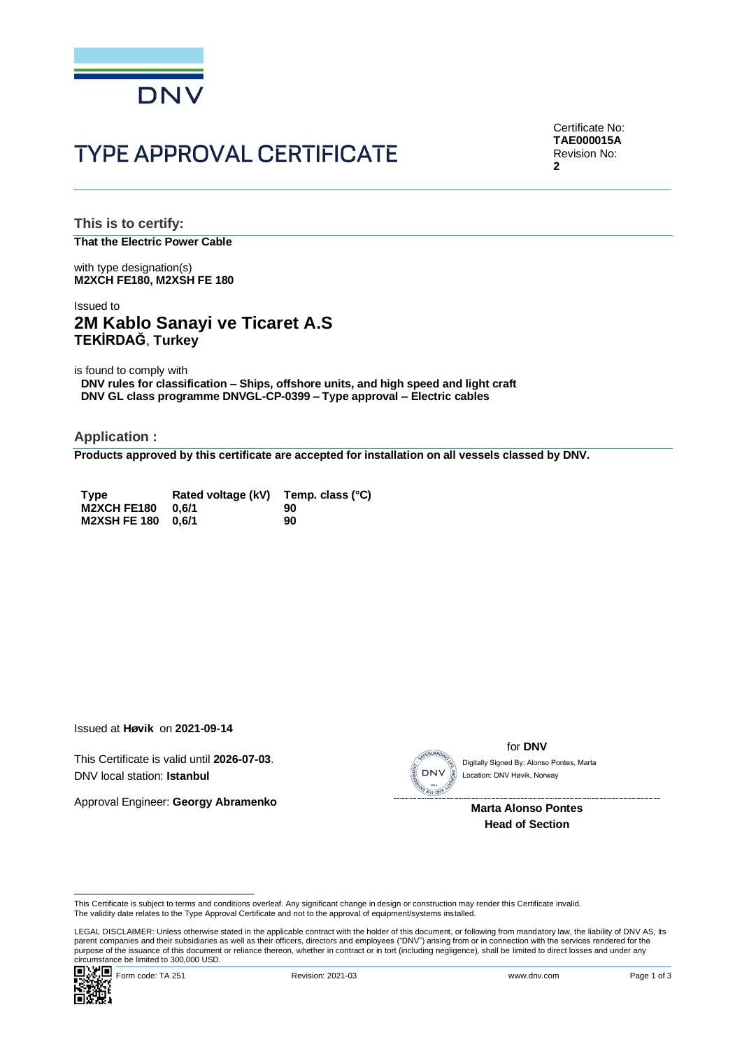

# **TYPE APPROVAL CERTIFICATE**

Certificate No: **TAE000015A** Revision No: **2**

**This is to certify: That the Electric Power Cable**

with type designation(s) **M2XCH FE180, M2XSH FE 180**

### Issued to **2M Kablo Sanayi ve Ticaret A.S TEKİRDAĞ**, **Turkey**

is found to comply with

**DNV rules for classification – Ships, offshore units, and high speed and light craft DNV GL class programme DNVGL-CP-0399 – Type approval – Electric cables**

**Application :**

**Products approved by this certificate are accepted for installation on all vessels classed by DNV.**

| <b>Type</b>        | Rated voltage (kV) Temp. class (°C) |    |
|--------------------|-------------------------------------|----|
| <b>M2XCH FE180</b> | 0.6/1                               | 90 |
| M2XSH FE 180 0.6/1 |                                     | 90 |

Issued at **Høvik** on **2021-09-14**

This Certificate is valid until **2026-07-03**. DNV local station: **Istanbul**

Approval Engineer: **Georgy Abramenko**



for **DNV**

 Location: DNV Høvik, Norway

**Marta Alonso Pontes Head of Section**

LEGAL DISCLAIMER: Unless otherwise stated in the applicable contract with the holder of this document, or following from mandatory law, the liability of DNV AS, its parent companies and their subsidiaries as well as their officers, directors and employees ("DNV") arising from or in connection with the services rendered for the purpose of the issuance of this document or reliance thereon, whether in contract or in tort (including negligence), shall be limited to direct losses and under any purpose of the issuance of this document or reliance ther Circumstance be limited to 300,000 USD.<br>
Circumstance be limited to 300,000 USD.<br>
Circumstance be limited to 300,000 USD.<br>
Circumstance be limited to 300,000 USD.<br>
Circumstance be limited to 300,000 USD.<br>
Circumstance be l



This Certificate is subject to terms and conditions overleaf. Any significant change in design or construction may render this Certificate invalid.<br>The validity date relates to the Type Approval Certificate and not to the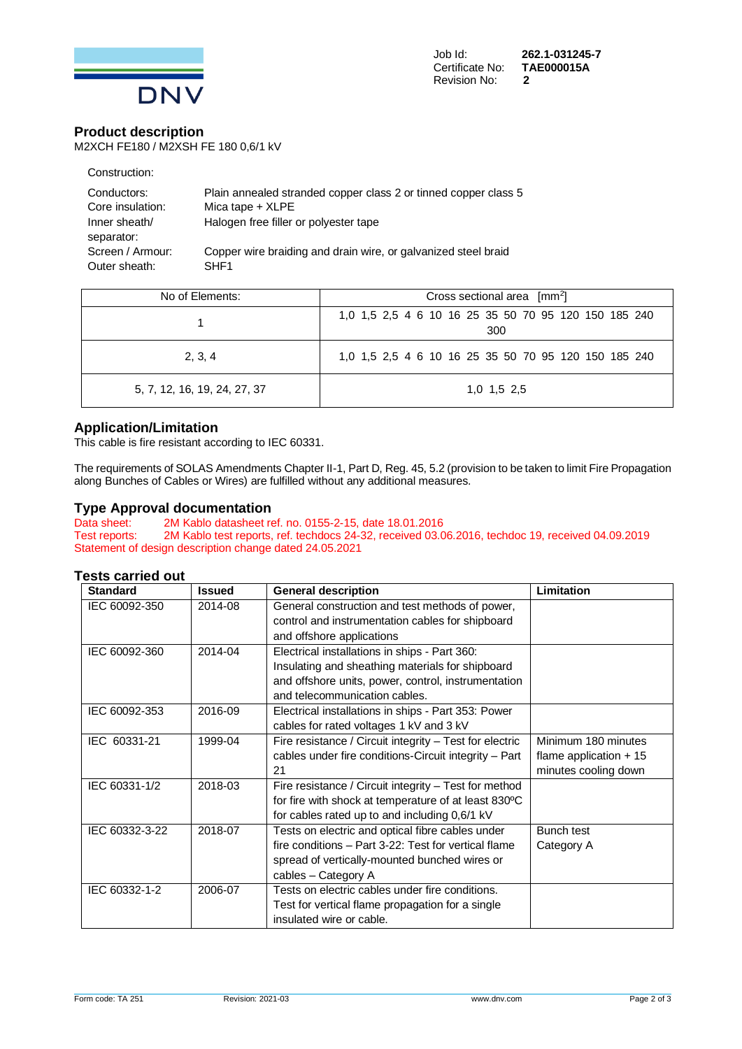

### **Product description**

M2XCH FE180 / M2XSH FE 180 0,6/1 kV

| Construction:               |                                                                 |
|-----------------------------|-----------------------------------------------------------------|
| Conductors:                 | Plain annealed stranded copper class 2 or tinned copper class 5 |
| Core insulation:            | Mica tape $+$ XLPE                                              |
| Inner sheath/<br>separator: | Halogen free filler or polyester tape                           |
| Screen / Armour:            | Copper wire braiding and drain wire, or galvanized steel braid  |
| Outer sheath:               | SHE <sub>1</sub>                                                |

| No of Elements:              | Cross sectional area [mm <sup>2</sup> ]                     |  |  |
|------------------------------|-------------------------------------------------------------|--|--|
|                              | 1,0 1,5 2,5 4 6 10 16 25 35 50 70 95 120 150 185 240<br>300 |  |  |
| 2, 3, 4                      | 1,0 1,5 2,5 4 6 10 16 25 35 50 70 95 120 150 185 240        |  |  |
| 5, 7, 12, 16, 19, 24, 27, 37 | $1,0$ 1.5 2.5                                               |  |  |

### **Application/Limitation**

This cable is fire resistant according to IEC 60331.

The requirements of SOLAS Amendments Chapter II-1, Part D, Reg. 45, 5.2 (provision to be taken to limit Fire Propagation along Bunches of Cables or Wires) are fulfilled without any additional measures.

## **Type Approval documentation**<br>Data sheet: 2M Kablo datasheet re

2M Kablo datasheet ref. no. 0155-2-15, date 18.01.2016 Test reports: 2M Kablo test reports, ref. techdocs 24-32, received 03.06.2016, techdoc 19, received 04.09.2019 Statement of design description change dated 24.05.2021

#### **Tests carried out**

| <b>Standard</b> | <b>Issued</b> | <b>General description</b>                              | Limitation              |
|-----------------|---------------|---------------------------------------------------------|-------------------------|
| IEC 60092-350   | 2014-08       | General construction and test methods of power,         |                         |
|                 |               | control and instrumentation cables for shipboard        |                         |
|                 |               | and offshore applications                               |                         |
| IEC 60092-360   | 2014-04       | Electrical installations in ships - Part 360:           |                         |
|                 |               | Insulating and sheathing materials for shipboard        |                         |
|                 |               | and offshore units, power, control, instrumentation     |                         |
|                 |               | and telecommunication cables.                           |                         |
| IEC 60092-353   | 2016-09       | Electrical installations in ships - Part 353: Power     |                         |
|                 |               | cables for rated voltages 1 kV and 3 kV                 |                         |
| IEC 60331-21    | 1999-04       | Fire resistance / Circuit integrity - Test for electric | Minimum 180 minutes     |
|                 |               | cables under fire conditions-Circuit integrity - Part   | flame application $+15$ |
|                 |               | 21                                                      | minutes cooling down    |
| IEC 60331-1/2   | 2018-03       | Fire resistance / Circuit integrity - Test for method   |                         |
|                 |               | for fire with shock at temperature of at least 830°C    |                         |
|                 |               | for cables rated up to and including 0,6/1 kV           |                         |
| IEC 60332-3-22  | 2018-07       | Tests on electric and optical fibre cables under        | Bunch test              |
|                 |               | fire conditions - Part 3-22: Test for vertical flame    | Category A              |
|                 |               | spread of vertically-mounted bunched wires or           |                         |
|                 |               | cables - Category A                                     |                         |
| IEC 60332-1-2   | 2006-07       | Tests on electric cables under fire conditions.         |                         |
|                 |               | Test for vertical flame propagation for a single        |                         |
|                 |               | insulated wire or cable.                                |                         |